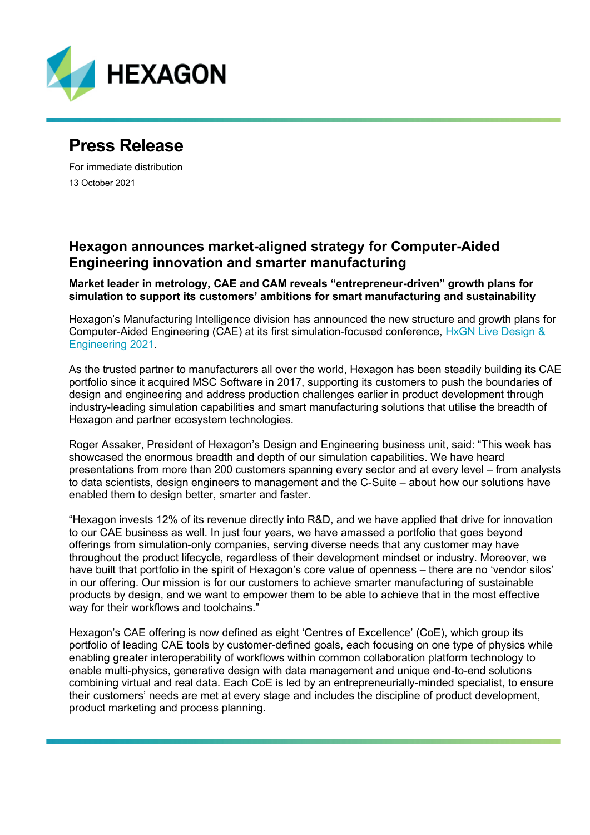

## **Press Release**

For immediate distribution 13 October 2021

## **Hexagon announces market-aligned strategy for Computer-Aided Engineering innovation and smarter manufacturing**

**Market leader in metrology, CAE and CAM reveals "entrepreneur-driven" growth plans for simulation to support its customers' ambitions for smart manufacturing and sustainability**

Hexagon's Manufacturing Intelligence division has announced the new structure and growth plans for Computer-Aided Engineering (CAE) at its first simulation-focused conference, [HxGN Live Design &](https://hexagonmi.com/DESummitPR) [Engineering](https://hexagonmi.com/DESummitPR) 2021.

As the trusted partner to manufacturers all over the world, Hexagon has been steadily building its CAE portfolio since it acquired MSC Software in 2017, supporting its customers to push the boundaries of design and engineering and address production challenges earlier in product development through industry-leading simulation capabilities and smart manufacturing solutions that utilise the breadth of Hexagon and partner ecosystem technologies.

Roger Assaker, President of Hexagon's Design and Engineering business unit, said: "This week has showcased the enormous breadth and depth of our simulation capabilities. We have heard presentations from more than 200 customers spanning every sector and at every level – from analysts to data scientists, design engineers to management and the C-Suite – about how our solutions have enabled them to design better, smarter and faster.

"Hexagon invests 12% of its revenue directly into R&D, and we have applied that drive for innovation to our CAE business as well. In just four years, we have amassed a portfolio that goes beyond offerings from simulation-only companies, serving diverse needs that any customer may have throughout the product lifecycle, regardless of their development mindset or industry. Moreover, we have built that portfolio in the spirit of Hexagon's core value of openness – there are no 'vendor silos' in our offering. Our mission is for our customers to achieve smarter manufacturing of sustainable products by design, and we want to empower them to be able to achieve that in the most effective way for their workflows and toolchains."

Hexagon's CAE offering is now defined as eight 'Centres of Excellence' (CoE), which group its portfolio of leading CAE tools by customer-defined goals, each focusing on one type of physics while enabling greater interoperability of workflows within common collaboration platform technology to enable multi-physics, generative design with data management and unique end-to-end solutions combining virtual and real data. Each CoE is led by an entrepreneurially-minded specialist, to ensure their customers' needs are met at every stage and includes the discipline of product development, product marketing and process planning.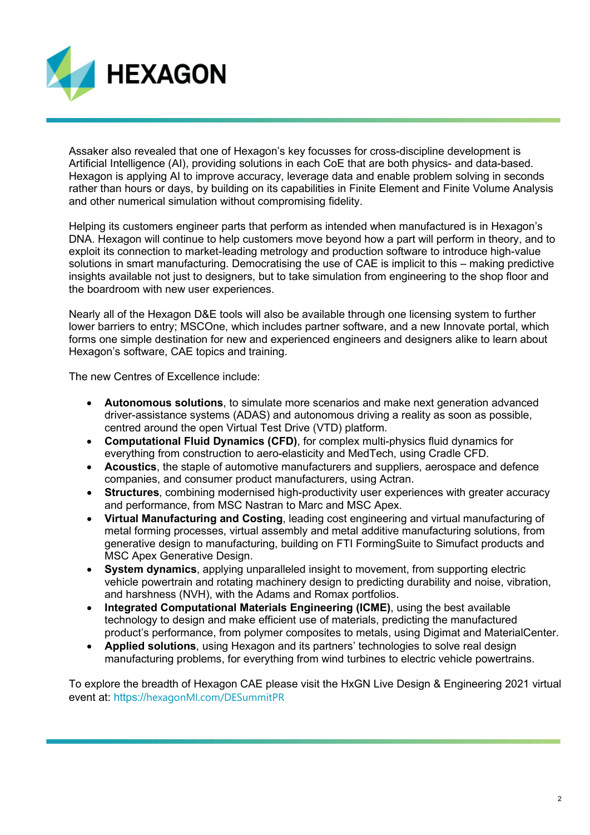

Assaker also revealed that one of Hexagon's key focusses for cross-discipline development is Artificial Intelligence (AI), providing solutions in each CoE that are both physics- and data-based. Hexagon is applying AI to improve accuracy, leverage data and enable problem solving in seconds rather than hours or days, by building on its capabilities in Finite Element and Finite Volume Analysis and other numerical simulation without compromising fidelity.

Helping its customers engineer parts that perform as intended when manufactured is in Hexagon's DNA. Hexagon will continue to help customers move beyond how a part will perform in theory, and to exploit its connection to market-leading metrology and production software to introduce high-value solutions in smart manufacturing. Democratising the use of CAE is implicit to this – making predictive insights available not just to designers, but to take simulation from engineering to the shop floor and the boardroom with new user experiences.

Nearly all of the Hexagon D&E tools will also be available through one licensing system to further lower barriers to entry; MSCOne, which includes partner software, and a new Innovate portal, which forms one simple destination for new and experienced engineers and designers alike to learn about Hexagon's software, CAE topics and training.

The new Centres of Excellence include:

- **Autonomous solutions**, to simulate more scenarios and make next generation advanced driver-assistance systems (ADAS) and autonomous driving a reality as soon as possible, centred around the open Virtual Test Drive (VTD) platform.
- **Computational Fluid Dynamics (CFD)**, for complex multi-physics fluid dynamics for everything from construction to aero-elasticity and MedTech, using Cradle CFD.
- **Acoustics**, the staple of automotive manufacturers and suppliers, aerospace and defence companies, and consumer product manufacturers, using Actran.
- **Structures**, combining modernised high-productivity user experiences with greater accuracy and performance, from MSC Nastran to Marc and MSC Apex.
- **Virtual Manufacturing and Costing**, leading cost engineering and virtual manufacturing of metal forming processes, virtual assembly and metal additive manufacturing solutions, from generative design to manufacturing, building on FTI FormingSuite to Simufact products and MSC Apex Generative Design.
- **System dynamics**, applying unparalleled insight to movement, from supporting electric vehicle powertrain and rotating machinery design to predicting durability and noise, vibration, and harshness (NVH), with the Adams and Romax portfolios.
- **Integrated Computational Materials Engineering (ICME)**, using the best available technology to design and make efficient use of materials, predicting the manufactured product's performance, from polymer composites to metals, using Digimat and MaterialCenter.
- **Applied solutions**, using Hexagon and its partners' technologies to solve real design manufacturing problems, for everything from wind turbines to electric vehicle powertrains.

To explore the breadth of Hexagon CAE please visit the HxGN Live Design & Engineering 2021 virtual event at: https://[hexagonMI.com/DESummitPR](https://hexagonmi.com/DESummitPR)